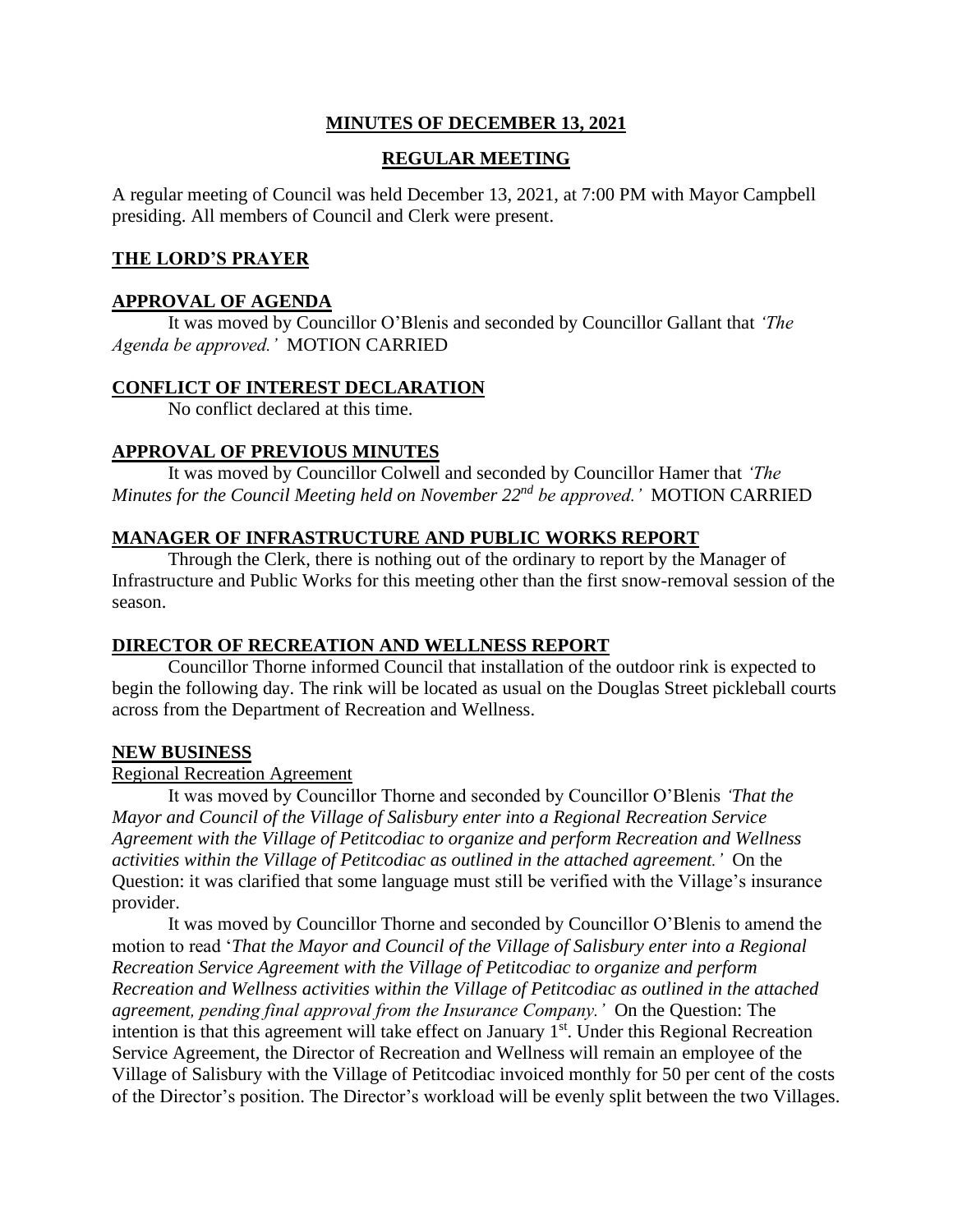# **MINUTES OF DECEMBER 13, 2021**

# **REGULAR MEETING**

A regular meeting of Council was held December 13, 2021, at 7:00 PM with Mayor Campbell presiding. All members of Council and Clerk were present.

## **THE LORD'S PRAYER**

## **APPROVAL OF AGENDA**

It was moved by Councillor O'Blenis and seconded by Councillor Gallant that *'The Agenda be approved.'* MOTION CARRIED

#### **CONFLICT OF INTEREST DECLARATION**

No conflict declared at this time.

## **APPROVAL OF PREVIOUS MINUTES**

It was moved by Councillor Colwell and seconded by Councillor Hamer that *'The Minutes for the Council Meeting held on November 22nd be approved.'* MOTION CARRIED

#### **MANAGER OF INFRASTRUCTURE AND PUBLIC WORKS REPORT**

Through the Clerk, there is nothing out of the ordinary to report by the Manager of Infrastructure and Public Works for this meeting other than the first snow-removal session of the season.

## **DIRECTOR OF RECREATION AND WELLNESS REPORT**

Councillor Thorne informed Council that installation of the outdoor rink is expected to begin the following day. The rink will be located as usual on the Douglas Street pickleball courts across from the Department of Recreation and Wellness.

#### **NEW BUSINESS**

#### Regional Recreation Agreement

It was moved by Councillor Thorne and seconded by Councillor O'Blenis *'That the Mayor and Council of the Village of Salisbury enter into a Regional Recreation Service Agreement with the Village of Petitcodiac to organize and perform Recreation and Wellness activities within the Village of Petitcodiac as outlined in the attached agreement.'* On the Question: it was clarified that some language must still be verified with the Village's insurance provider.

It was moved by Councillor Thorne and seconded by Councillor O'Blenis to amend the motion to read '*That the Mayor and Council of the Village of Salisbury enter into a Regional Recreation Service Agreement with the Village of Petitcodiac to organize and perform Recreation and Wellness activities within the Village of Petitcodiac as outlined in the attached agreement, pending final approval from the Insurance Company.'* On the Question: The intention is that this agreement will take effect on January  $1<sup>st</sup>$ . Under this Regional Recreation Service Agreement, the Director of Recreation and Wellness will remain an employee of the Village of Salisbury with the Village of Petitcodiac invoiced monthly for 50 per cent of the costs of the Director's position. The Director's workload will be evenly split between the two Villages.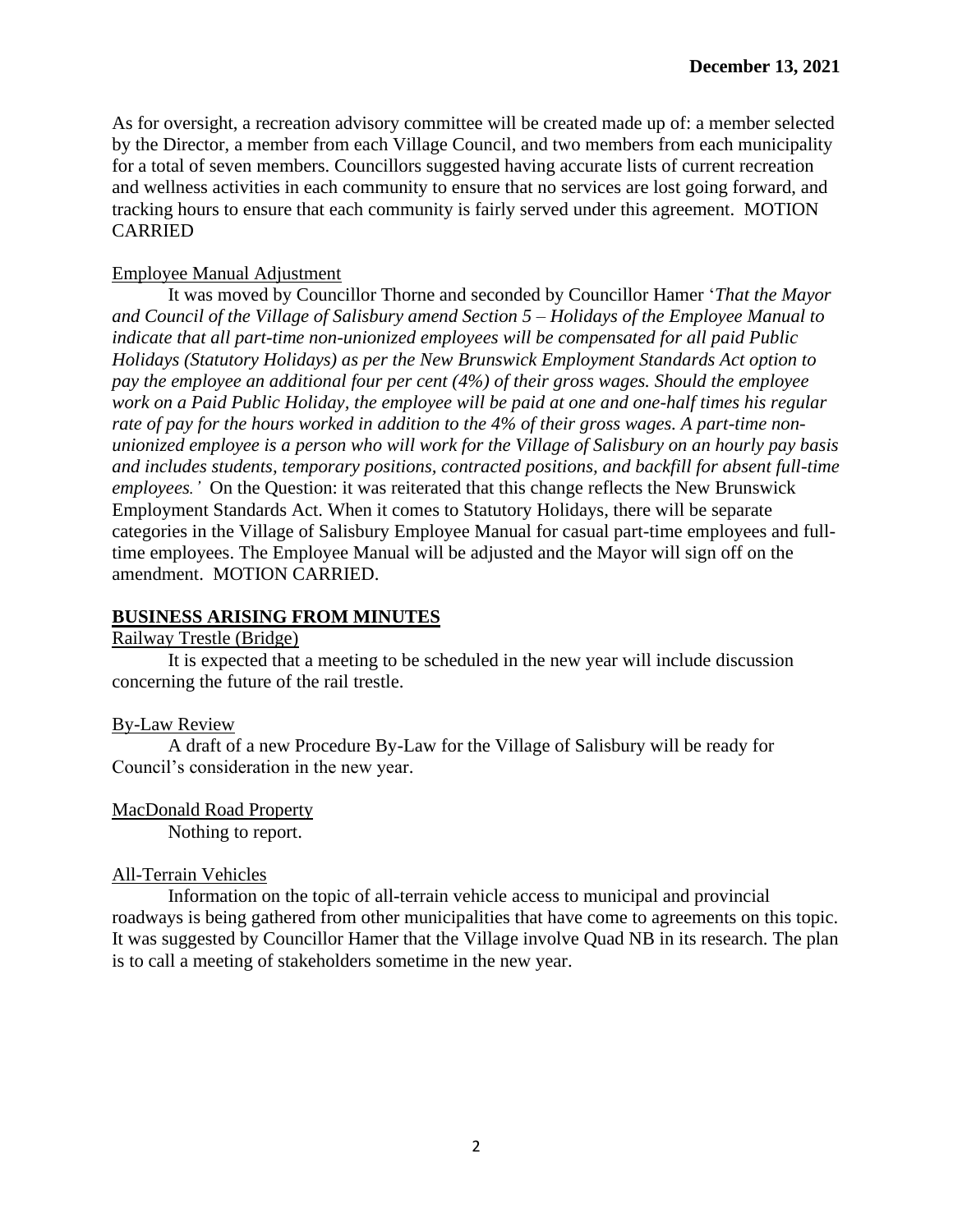As for oversight, a recreation advisory committee will be created made up of: a member selected by the Director, a member from each Village Council, and two members from each municipality for a total of seven members. Councillors suggested having accurate lists of current recreation and wellness activities in each community to ensure that no services are lost going forward, and tracking hours to ensure that each community is fairly served under this agreement. MOTION CARRIED

## Employee Manual Adjustment

It was moved by Councillor Thorne and seconded by Councillor Hamer '*That the Mayor and Council of the Village of Salisbury amend Section 5 – Holidays of the Employee Manual to indicate that all part-time non-unionized employees will be compensated for all paid Public Holidays (Statutory Holidays) as per the New Brunswick Employment Standards Act option to pay the employee an additional four per cent (4%) of their gross wages. Should the employee work on a Paid Public Holiday, the employee will be paid at one and one-half times his regular rate of pay for the hours worked in addition to the 4% of their gross wages. A part-time nonunionized employee is a person who will work for the Village of Salisbury on an hourly pay basis and includes students, temporary positions, contracted positions, and backfill for absent full-time employees.'* On the Question: it was reiterated that this change reflects the New Brunswick Employment Standards Act. When it comes to Statutory Holidays, there will be separate categories in the Village of Salisbury Employee Manual for casual part-time employees and fulltime employees. The Employee Manual will be adjusted and the Mayor will sign off on the amendment. MOTION CARRIED.

# **BUSINESS ARISING FROM MINUTES**

## Railway Trestle (Bridge)

It is expected that a meeting to be scheduled in the new year will include discussion concerning the future of the rail trestle.

## By-Law Review

A draft of a new Procedure By-Law for the Village of Salisbury will be ready for Council's consideration in the new year.

## MacDonald Road Property

Nothing to report.

## All-Terrain Vehicles

Information on the topic of all-terrain vehicle access to municipal and provincial roadways is being gathered from other municipalities that have come to agreements on this topic. It was suggested by Councillor Hamer that the Village involve Quad NB in its research. The plan is to call a meeting of stakeholders sometime in the new year.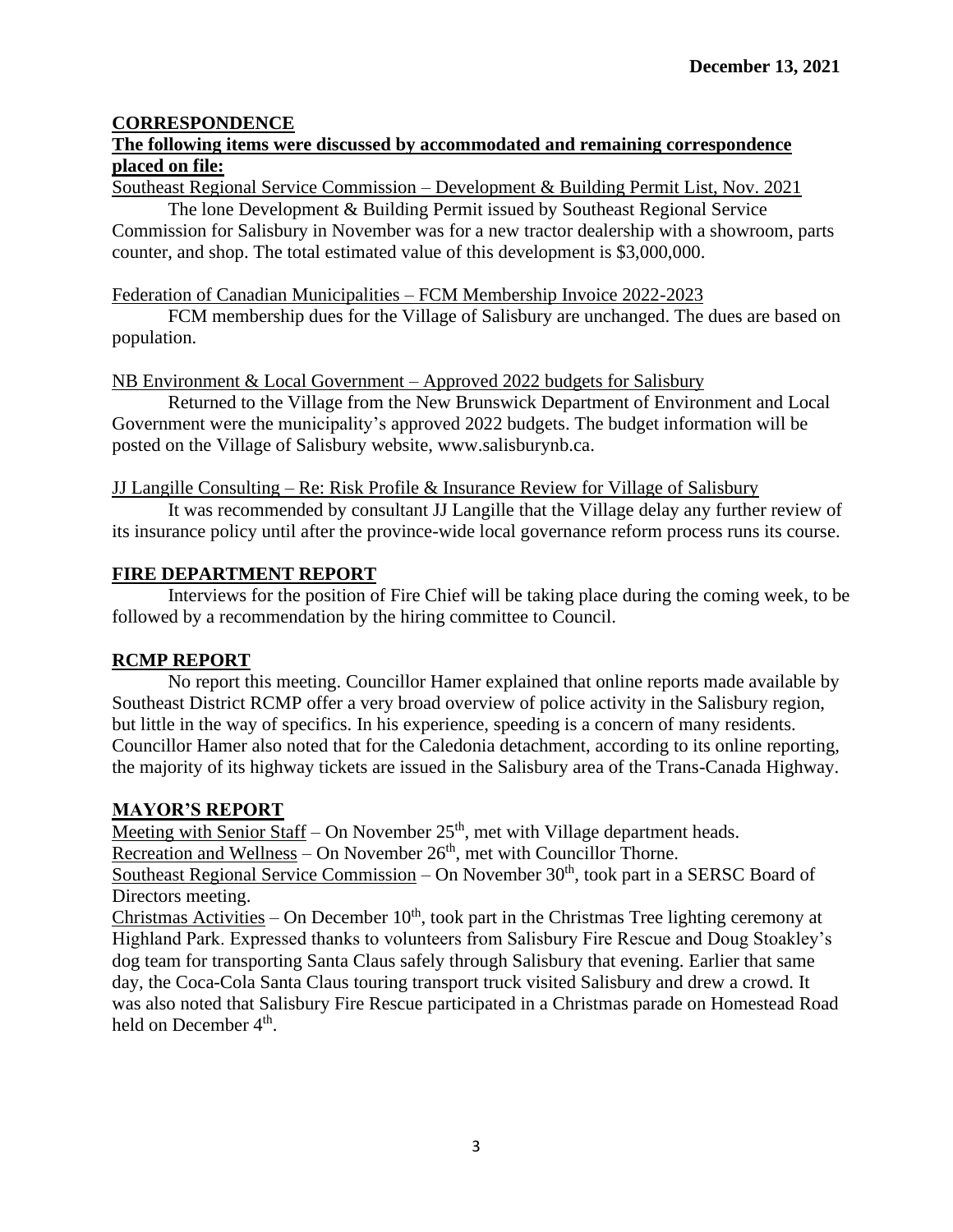# **CORRESPONDENCE**

# **The following items were discussed by accommodated and remaining correspondence placed on file:**

Southeast Regional Service Commission – Development & Building Permit List, Nov. 2021

The lone Development & Building Permit issued by Southeast Regional Service Commission for Salisbury in November was for a new tractor dealership with a showroom, parts counter, and shop. The total estimated value of this development is \$3,000,000.

#### Federation of Canadian Municipalities – FCM Membership Invoice 2022-2023

FCM membership dues for the Village of Salisbury are unchanged. The dues are based on population.

NB Environment & Local Government – Approved 2022 budgets for Salisbury

Returned to the Village from the New Brunswick Department of Environment and Local Government were the municipality's approved 2022 budgets. The budget information will be posted on the Village of Salisbury website, www.salisburynb.ca.

#### JJ Langille Consulting – Re: Risk Profile & Insurance Review for Village of Salisbury

It was recommended by consultant JJ Langille that the Village delay any further review of its insurance policy until after the province-wide local governance reform process runs its course.

## **FIRE DEPARTMENT REPORT**

Interviews for the position of Fire Chief will be taking place during the coming week, to be followed by a recommendation by the hiring committee to Council.

## **RCMP REPORT**

No report this meeting. Councillor Hamer explained that online reports made available by Southeast District RCMP offer a very broad overview of police activity in the Salisbury region, but little in the way of specifics. In his experience, speeding is a concern of many residents. Councillor Hamer also noted that for the Caledonia detachment, according to its online reporting, the majority of its highway tickets are issued in the Salisbury area of the Trans-Canada Highway.

## **MAYOR'S REPORT**

Meeting with Senior Staff – On November  $25<sup>th</sup>$ , met with Village department heads.

 $\overline{\text{Recreation and Wellness}}$  – On November 26<sup>th</sup>, met with Councillor Thorne.

Southeast Regional Service Commission – On November  $30<sup>th</sup>$ , took part in a SERSC Board of Directors meeting.

Christmas Activities – On December  $10<sup>th</sup>$ , took part in the Christmas Tree lighting ceremony at Highland Park. Expressed thanks to volunteers from Salisbury Fire Rescue and Doug Stoakley's dog team for transporting Santa Claus safely through Salisbury that evening. Earlier that same day, the Coca-Cola Santa Claus touring transport truck visited Salisbury and drew a crowd. It was also noted that Salisbury Fire Rescue participated in a Christmas parade on Homestead Road held on December 4<sup>th</sup>.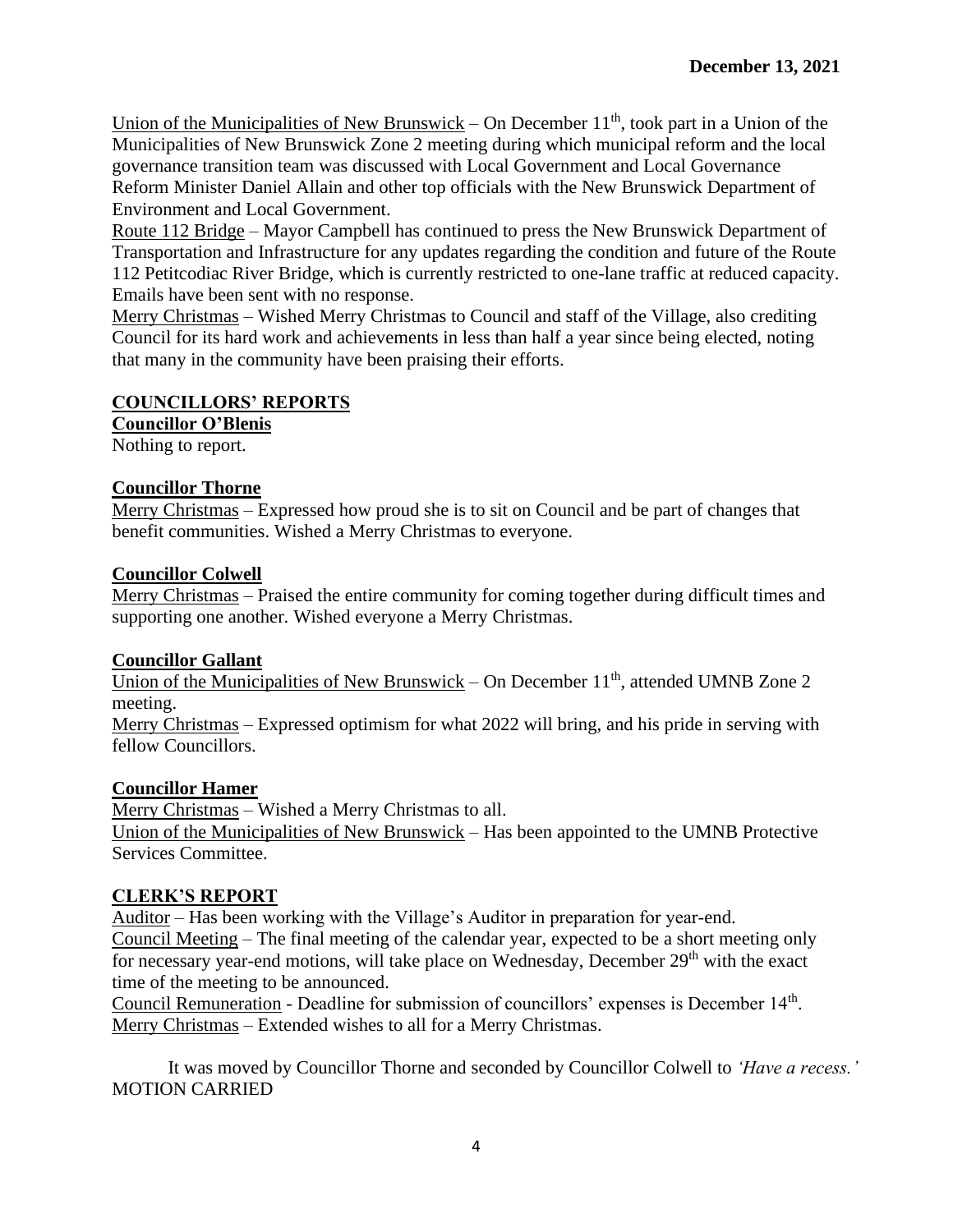Union of the Municipalities of New Brunswick – On December  $11<sup>th</sup>$ , took part in a Union of the Municipalities of New Brunswick Zone 2 meeting during which municipal reform and the local governance transition team was discussed with Local Government and Local Governance Reform Minister Daniel Allain and other top officials with the New Brunswick Department of Environment and Local Government.

Route 112 Bridge – Mayor Campbell has continued to press the New Brunswick Department of Transportation and Infrastructure for any updates regarding the condition and future of the Route 112 Petitcodiac River Bridge, which is currently restricted to one-lane traffic at reduced capacity. Emails have been sent with no response.

Merry Christmas – Wished Merry Christmas to Council and staff of the Village, also crediting Council for its hard work and achievements in less than half a year since being elected, noting that many in the community have been praising their efforts.

# **COUNCILLORS' REPORTS**

**Councillor O'Blenis**

Nothing to report.

# **Councillor Thorne**

Merry Christmas – Expressed how proud she is to sit on Council and be part of changes that benefit communities. Wished a Merry Christmas to everyone.

# **Councillor Colwell**

Merry Christmas – Praised the entire community for coming together during difficult times and supporting one another. Wished everyone a Merry Christmas.

# **Councillor Gallant**

Union of the Municipalities of New Brunswick – On December  $11<sup>th</sup>$ , attended UMNB Zone 2 meeting.

Merry Christmas – Expressed optimism for what 2022 will bring, and his pride in serving with fellow Councillors.

# **Councillor Hamer**

Merry Christmas – Wished a Merry Christmas to all. Union of the Municipalities of New Brunswick – Has been appointed to the UMNB Protective Services Committee.

# **CLERK'S REPORT**

Auditor – Has been working with the Village's Auditor in preparation for year-end. Council Meeting – The final meeting of the calendar year, expected to be a short meeting only for necessary year-end motions, will take place on Wednesday, December 29<sup>th</sup> with the exact time of the meeting to be announced.

Council Remuneration - Deadline for submission of councillors' expenses is December 14<sup>th</sup>. Merry Christmas – Extended wishes to all for a Merry Christmas.

It was moved by Councillor Thorne and seconded by Councillor Colwell to *'Have a recess.'*  MOTION CARRIED